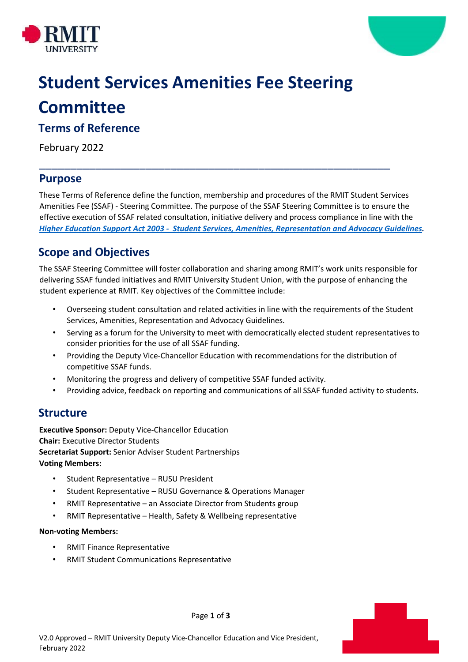



# **Student Services Amenities Fee Steering Committee**

### **Terms of Reference**

February 2022

### **Purpose**

These Terms of Reference define the function, membership and procedures of the RMIT Student Services Amenities Fee (SSAF) - Steering Committee. The purpose of the SSAF Steering Committee is to ensure the effective execution of SSAF related consultation, initiative delivery and process compliance in line with the *Higher Education Support Act 2003 - Student Services, Amenities, Representation and Advocacy Guidelines.*

\_\_\_\_\_\_\_\_\_\_\_\_\_\_\_\_\_\_\_\_\_\_\_\_\_\_\_\_\_\_\_\_\_\_\_\_\_\_\_\_\_\_\_\_\_\_\_\_\_\_\_\_\_\_\_\_

# **Scope and Objectives**

The SSAF Steering Committee will foster collaboration and sharing among RMIT's work units responsible for delivering SSAF funded initiatives and RMIT University Student Union, with the purpose of enhancing the student experience at RMIT. Key objectives of the Committee include:

- Overseeing student consultation and related activities in line with the requirements of the Student Services, Amenities, Representation and Advocacy Guidelines.
- Serving as a forum for the University to meet with democratically elected student representatives to consider priorities for the use of all SSAF funding.
- Providing the Deputy Vice-Chancellor Education with recommendations for the distribution of competitive SSAF funds.
- Monitoring the progress and delivery of competitive SSAF funded activity.
- Providing advice, feedback on reporting and communications of all SSAF funded activity to students.

## **Structure**

**Executive Sponsor:** Deputy Vice-Chancellor Education **Chair:** Executive Director Students **Secretariat Support:** Senior Adviser Student Partnerships **Voting Members:**

- Student Representative RUSU President
- Student Representative RUSU Governance & Operations Manager
- RMIT Representative an Associate Director from Students group
- RMIT Representative Health, Safety & Wellbeing representative

#### **Non-voting Members:**

- RMIT Finance Representative
- RMIT Student Communications Representative



Page **1** of **3**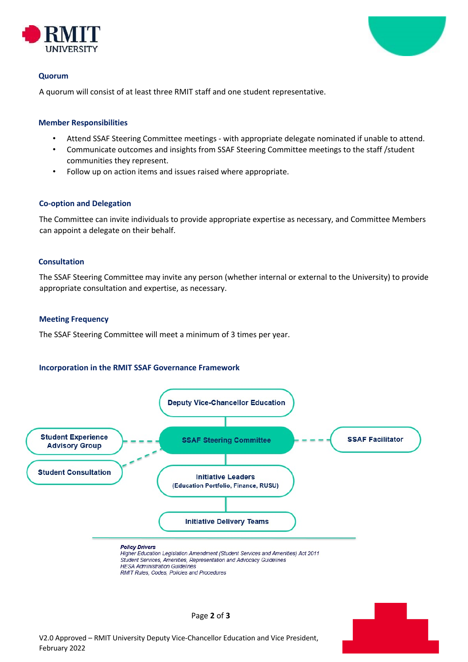



#### **Quorum**

A quorum will consist of at least three RMIT staff and one student representative.

#### **Member Responsibilities**

- Attend SSAF Steering Committee meetings with appropriate delegate nominated if unable to attend.
- Communicate outcomes and insights from SSAF Steering Committee meetings to the staff /student communities they represent.
- Follow up on action items and issues raised where appropriate.

#### **Co-option and Delegation**

The Committee can invite individuals to provide appropriate expertise as necessary, and Committee Members can appoint a delegate on their behalf.

#### **Consultation**

The SSAF Steering Committee may invite any person (whether internal or external to the University) to provide appropriate consultation and expertise, as necessary.

#### **Meeting Frequency**

The SSAF Steering Committee will meet a minimum of 3 times per year.

#### **Incorporation in the RMIT SSAF Governance Framework**